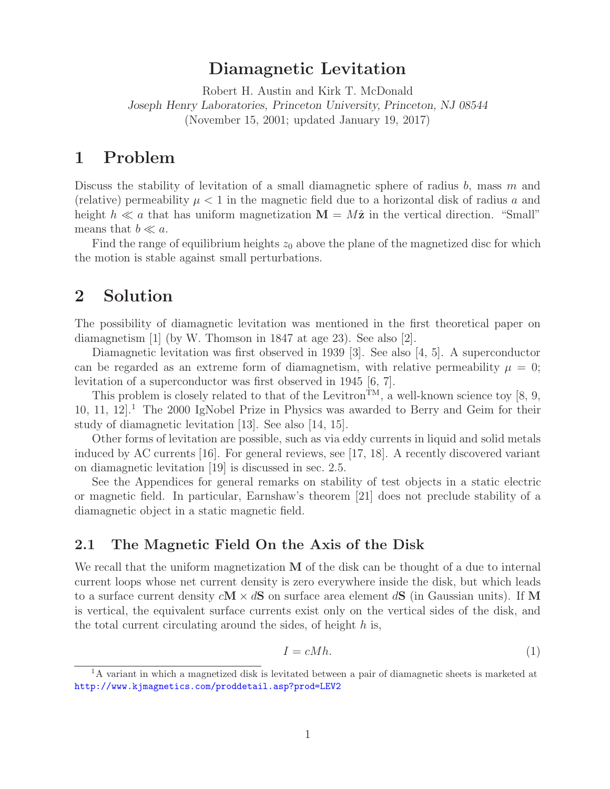## **Diamagnetic Levitation**

Robert H. Austin and Kirk T. McDonald *Joseph Henry Laboratories, Princeton University, Princeton, NJ 08544* (November 15, 2001; updated January 19, 2017)

# **1 Problem**

Discuss the stability of levitation of a small diamagnetic sphere of radius  $b$ , mass m and (relative) permeability  $\mu < 1$  in the magnetic field due to a horizontal disk of radius a and height  $h \ll a$  that has uniform magnetization  $\mathbf{M} = M\hat{\mathbf{z}}$  in the vertical direction. "Small" means that  $b \ll a$ .

Find the range of equilibrium heights  $z_0$  above the plane of the magnetized disc for which the motion is stable against small perturbations.

# **2 Solution**

The possibility of diamagnetic levitation was mentioned in the first theoretical paper on diamagnetism [1] (by W. Thomson in 1847 at age 23). See also [2].

Diamagnetic levitation was first observed in 1939 [3]. See also [4, 5]. A superconductor can be regarded as an extreme form of diamagnetism, with relative permeability  $\mu = 0$ ; levitation of a superconductor was first observed in 1945 [6, 7].

This problem is closely related to that of the Levitron<sup>TM</sup>, a well-known science toy [8, 9, 10, 11, 12<sup> $1$ </sup>. The 2000 IgNobel Prize in Physics was awarded to Berry and Geim for their study of diamagnetic levitation [13]. See also [14, 15].

Other forms of levitation are possible, such as via eddy currents in liquid and solid metals induced by AC currents [16]. For general reviews, see [17, 18]. A recently discovered variant on diamagnetic levitation [19] is discussed in sec. 2.5.

See the Appendices for general remarks on stability of test objects in a static electric or magnetic field. In particular, Earnshaw's theorem [21] does not preclude stability of a diamagnetic object in a static magnetic field.

## **2.1 The Magnetic Field On the Axis of the Disk**

We recall that the uniform magnetization **M** of the disk can be thought of a due to internal current loops whose net current density is zero everywhere inside the disk, but which leads to a surface current density c**M** × d**S** on surface area element d**S** (in Gaussian units). If **M** is vertical, the equivalent surface currents exist only on the vertical sides of the disk, and the total current circulating around the sides, of height  $h$  is,

$$
I = cMh.\t\t(1)
$$

<sup>&</sup>lt;sup>1</sup>A variant in which a magnetized disk is levitated between a pair of diamagnetic sheets is marketed at http://www.kjmagnetics.com/proddetail.asp?prod=LEV2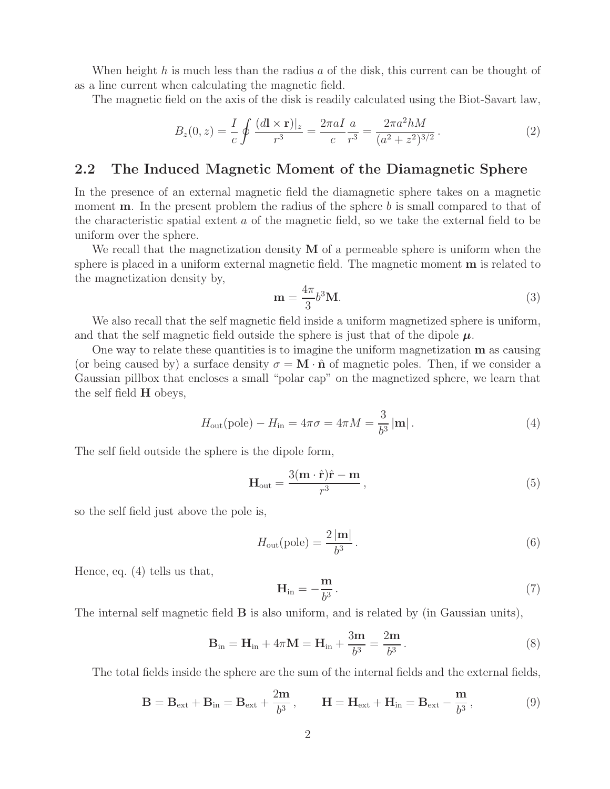When height h is much less than the radius a of the disk, this current can be thought of as a line current when calculating the magnetic field.

The magnetic field on the axis of the disk is readily calculated using the Biot-Savart law,

$$
B_z(0, z) = \frac{I}{c} \oint \frac{(d\mathbf{l} \times \mathbf{r})|_z}{r^3} = \frac{2\pi a I}{c} \frac{a}{r^3} = \frac{2\pi a^2 h M}{(a^2 + z^2)^{3/2}}.
$$
 (2)

#### **2.2 The Induced Magnetic Moment of the Diamagnetic Sphere**

In the presence of an external magnetic field the diamagnetic sphere takes on a magnetic moment **m**. In the present problem the radius of the sphere b is small compared to that of the characteristic spatial extent a of the magnetic field, so we take the external field to be uniform over the sphere.

We recall that the magnetization density **M** of a permeable sphere is uniform when the sphere is placed in a uniform external magnetic field. The magnetic moment **m** is related to the magnetization density by,

$$
\mathbf{m} = \frac{4\pi}{3}b^3 \mathbf{M}.\tag{3}
$$

We also recall that the self magnetic field inside a uniform magnetized sphere is uniform, and that the self magnetic field outside the sphere is just that of the dipole  $\mu$ .

One way to relate these quantities is to imagine the uniform magnetization **m** as causing (or being caused by) a surface density  $\sigma = \mathbf{M} \cdot \hat{\mathbf{n}}$  of magnetic poles. Then, if we consider a Gaussian pillbox that encloses a small "polar cap" on the magnetized sphere, we learn that the self field **H** obeys,

$$
H_{\text{out}}(\text{pole}) - H_{\text{in}} = 4\pi\sigma = 4\pi M = \frac{3}{b^3} |\mathbf{m}|.
$$
 (4)

The self field outside the sphere is the dipole form,

$$
\mathbf{H}_{\text{out}} = \frac{3(\mathbf{m} \cdot \hat{\mathbf{r}})\hat{\mathbf{r}} - \mathbf{m}}{r^3},\tag{5}
$$

so the self field just above the pole is,

$$
H_{\text{out}}(\text{pole}) = \frac{2\left|\mathbf{m}\right|}{b^3}.\tag{6}
$$

Hence, eq. (4) tells us that,

$$
\mathbf{H}_{\rm in} = -\frac{\mathbf{m}}{b^3}.\tag{7}
$$

The internal self magnetic field **B** is also uniform, and is related by (in Gaussian units),

$$
\mathbf{B}_{\rm in} = \mathbf{H}_{\rm in} + 4\pi \mathbf{M} = \mathbf{H}_{\rm in} + \frac{3\mathbf{m}}{b^3} = \frac{2\mathbf{m}}{b^3}.
$$
 (8)

The total fields inside the sphere are the sum of the internal fields and the external fields,

$$
\mathbf{B} = \mathbf{B}_{ext} + \mathbf{B}_{in} = \mathbf{B}_{ext} + \frac{2m}{b^3}, \qquad \mathbf{H} = \mathbf{H}_{ext} + \mathbf{H}_{in} = \mathbf{B}_{ext} - \frac{m}{b^3}, \tag{9}
$$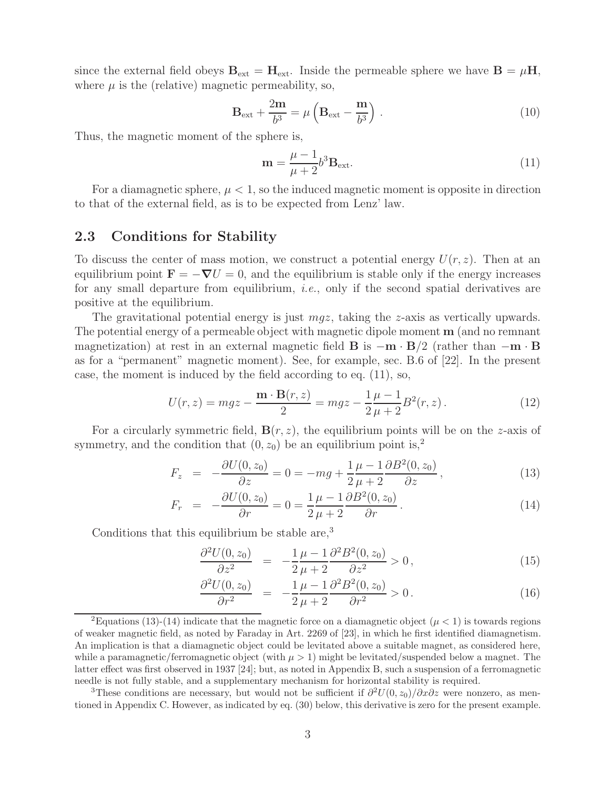since the external field obeys  $\mathbf{B}_{ext} = \mathbf{H}_{ext}$ . Inside the permeable sphere we have  $\mathbf{B} = \mu \mathbf{H}$ , where  $\mu$  is the (relative) magnetic permeability, so,

$$
\mathbf{B}_{\text{ext}} + \frac{2\mathbf{m}}{b^3} = \mu \left( \mathbf{B}_{\text{ext}} - \frac{\mathbf{m}}{b^3} \right) . \tag{10}
$$

Thus, the magnetic moment of the sphere is,

$$
\mathbf{m} = \frac{\mu - 1}{\mu + 2} b^3 \mathbf{B}_{\text{ext}}.\tag{11}
$$

For a diamagnetic sphere,  $\mu < 1$ , so the induced magnetic moment is opposite in direction to that of the external field, as is to be expected from Lenz' law.

#### **2.3 Conditions for Stability**

To discuss the center of mass motion, we construct a potential energy  $U(r, z)$ . Then at an equilibrium point  $\mathbf{F} = -\nabla U = 0$ , and the equilibrium is stable only if the energy increases for any small departure from equilibrium, *i.e.*, only if the second spatial derivatives are positive at the equilibrium.

The gravitational potential energy is just  $mgz$ , taking the z-axis as vertically upwards. The potential energy of a permeable object with magnetic dipole moment **m** (and no remnant magnetization) at rest in an external magnetic field **B** is  $-\mathbf{m} \cdot \mathbf{B}/2$  (rather than  $-\mathbf{m} \cdot \mathbf{B}$ as for a "permanent" magnetic moment). See, for example, sec. B.6 of [22]. In the present case, the moment is induced by the field according to eq. (11), so,

$$
U(r,z) = mgz - \frac{\mathbf{m} \cdot \mathbf{B}(r,z)}{2} = mgz - \frac{1}{2}\frac{\mu - 1}{\mu + 2}B^2(r,z).
$$
 (12)

For a circularly symmetric field,  $\mathbf{B}(r, z)$ , the equilibrium points will be on the z-axis of symmetry, and the condition that  $(0, z_0)$  be an equilibrium point is,<sup>2</sup>

$$
F_z = -\frac{\partial U(0, z_0)}{\partial z} = 0 = -mg + \frac{1}{2}\frac{\mu - 1}{\mu + 2}\frac{\partial B^2(0, z_0)}{\partial z},
$$
\n(13)

$$
F_r = -\frac{\partial U(0, z_0)}{\partial r} = 0 = \frac{1}{2} \frac{\mu - 1}{\mu + 2} \frac{\partial B^2(0, z_0)}{\partial r}.
$$
\n(14)

Conditions that this equilibrium be stable are,<sup>3</sup>

$$
\frac{\partial^2 U(0, z_0)}{\partial z^2} = -\frac{1}{2} \frac{\mu - 1}{\mu + 2} \frac{\partial^2 B^2(0, z_0)}{\partial z^2} > 0, \qquad (15)
$$

$$
\frac{\partial^2 U(0, z_0)}{\partial r^2} = -\frac{1}{2} \frac{\mu - 1}{\mu + 2} \frac{\partial^2 B^2(0, z_0)}{\partial r^2} > 0.
$$
\n(16)

<sup>3</sup>These conditions are necessary, but would not be sufficient if  $\frac{\partial^2 U(0, z_0)}{\partial x \partial z}$  were nonzero, as mentioned in Appendix C. However, as indicated by eq. (30) below, this derivative is zero for the present example.

<sup>&</sup>lt;sup>2</sup>Equations (13)-(14) indicate that the magnetic force on a diamagnetic object ( $\mu$  < 1) is towards regions of weaker magnetic field, as noted by Faraday in Art. 2269 of [23], in which he first identified diamagnetism. An implication is that a diamagnetic object could be levitated above a suitable magnet, as considered here, while a paramagnetic/ferromagnetic object (with  $\mu > 1$ ) might be levitated/suspended below a magnet. The latter effect was first observed in 1937 [24]; but, as noted in Appendix B, such a suspension of a ferromagnetic needle is not fully stable, and a supplementary mechanism for horizontal stability is required.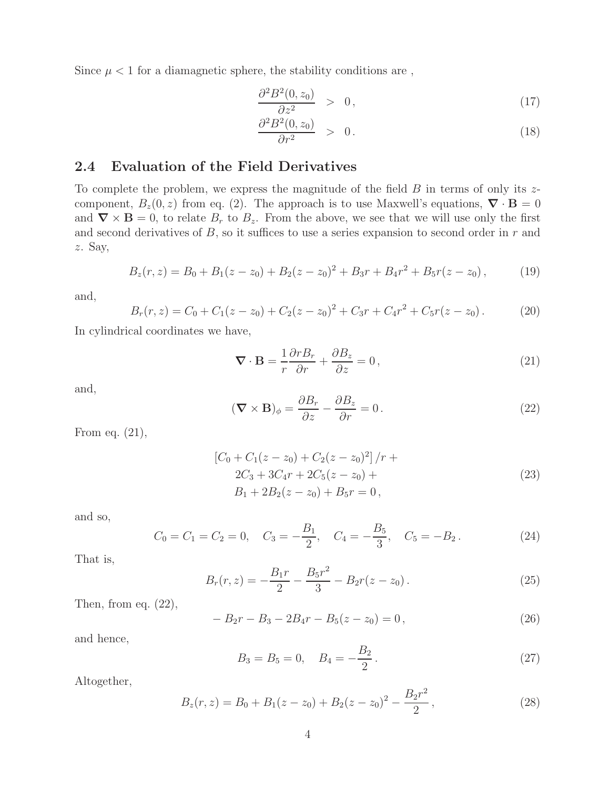Since  $\mu$  < 1 for a diamagnetic sphere, the stability conditions are,

$$
\frac{\partial^2 B^2(0, z_0)}{\partial z^2} > 0, \qquad (17)
$$

$$
\frac{\partial^2 B^2(0, z_0)}{\partial r^2} > 0.
$$
\n(18)

## **2.4 Evaluation of the Field Derivatives**

To complete the problem, we express the magnitude of the field  $B$  in terms of only its  $z$ component,  $B_z(0, z)$  from eq. (2). The approach is to use Maxwell's equations,  $\nabla \cdot \mathbf{B} = 0$ and  $\nabla \times \mathbf{B} = 0$ , to relate  $B_r$  to  $B_z$ . From the above, we see that we will use only the first and second derivatives of  $B$ , so it suffices to use a series expansion to second order in  $r$  and z. Say,

$$
B_z(r, z) = B_0 + B_1(z - z_0) + B_2(z - z_0)^2 + B_3r + B_4r^2 + B_5r(z - z_0),
$$
 (19)

and,

$$
B_r(r, z) = C_0 + C_1(z - z_0) + C_2(z - z_0)^2 + C_3r + C_4r^2 + C_5r(z - z_0).
$$
 (20)

In cylindrical coordinates we have,

$$
\nabla \cdot \mathbf{B} = \frac{1}{r} \frac{\partial r B_r}{\partial r} + \frac{\partial B_z}{\partial z} = 0, \qquad (21)
$$

and,

$$
(\mathbf{\nabla} \times \mathbf{B})_{\phi} = \frac{\partial B_r}{\partial z} - \frac{\partial B_z}{\partial r} = 0.
$$
 (22)

From eq. (21),

$$
\begin{aligned} \left[C_0 + C_1(z - z_0) + C_2(z - z_0)^2\right] / r + \\ 2C_3 + 3C_4r + 2C_5(z - z_0) + \\ B_1 + 2B_2(z - z_0) + B_5r = 0 \,, \end{aligned} \tag{23}
$$

and so,

$$
C_0 = C_1 = C_2 = 0
$$
,  $C_3 = -\frac{B_1}{2}$ ,  $C_4 = -\frac{B_5}{3}$ ,  $C_5 = -B_2$ . (24)

That is,

$$
B_r(r,z) = -\frac{B_1r}{2} - \frac{B_5r^2}{3} - B_2r(z-z_0).
$$
 (25)

Then, from eq.  $(22)$ ,

$$
-B_2r - B_3 - 2B_4r - B_5(z - z_0) = 0,
$$
\n(26)

and hence,

$$
B_3 = B_5 = 0, \quad B_4 = -\frac{B_2}{2}.
$$
\n<sup>(27)</sup>

Altogether,

$$
B_z(r, z) = B_0 + B_1(z - z_0) + B_2(z - z_0)^2 - \frac{B_2r^2}{2},
$$
\n(28)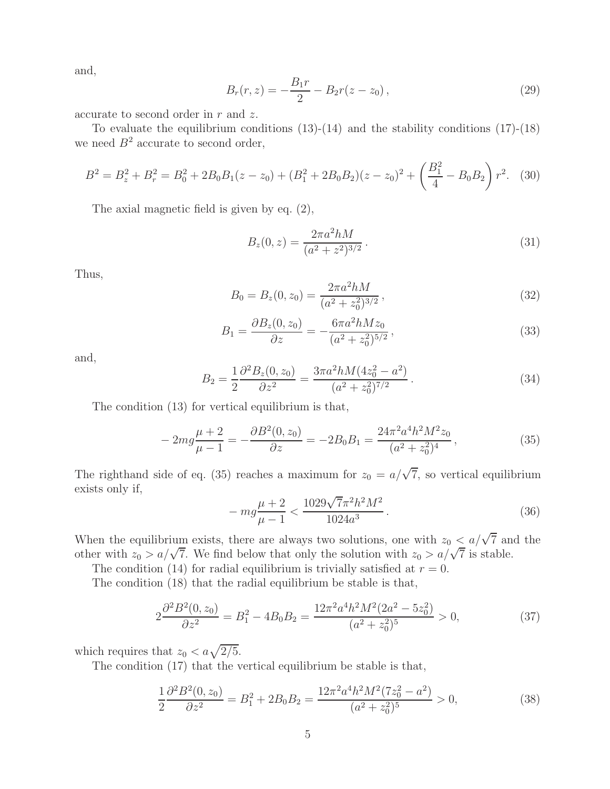and,

$$
B_r(r,z) = -\frac{B_1r}{2} - B_2r(z-z_0),
$$
\n(29)

accurate to second order in  $r$  and  $z$ .

To evaluate the equilibrium conditions  $(13)-(14)$  and the stability conditions  $(17)-(18)$ we need  $B^2$  accurate to second order,

$$
B^2 = B_z^2 + B_r^2 = B_0^2 + 2B_0B_1(z - z_0) + (B_1^2 + 2B_0B_2)(z - z_0)^2 + \left(\frac{B_1^2}{4} - B_0B_2\right)r^2.
$$
 (30)

The axial magnetic field is given by eq. (2),

$$
B_z(0, z) = \frac{2\pi a^2 hM}{(a^2 + z^2)^{3/2}}.
$$
\n(31)

Thus,

$$
B_0 = B_z(0, z_0) = \frac{2\pi a^2 hM}{(a^2 + z_0^2)^{3/2}},
$$
\n(32)

$$
B_1 = \frac{\partial B_z(0, z_0)}{\partial z} = -\frac{6\pi a^2 h M z_0}{(a^2 + z_0^2)^{5/2}},\tag{33}
$$

and,

$$
B_2 = \frac{1}{2} \frac{\partial^2 B_z(0, z_0)}{\partial z^2} = \frac{3\pi a^2 h M (4z_0^2 - a^2)}{(a^2 + z_0^2)^{7/2}}.
$$
\n(34)

The condition (13) for vertical equilibrium is that,

$$
-2mg\frac{\mu+2}{\mu-1} = -\frac{\partial B^2(0, z_0)}{\partial z} = -2B_0B_1 = \frac{24\pi^2 a^4 h^2 M^2 z_0}{(a^2 + z_0^2)^4},\tag{35}
$$

The righthand side of eq. (35) reaches a maximum for  $z_0 = a/\sqrt{7}$ , so vertical equilibrium exists only if,

$$
-mg\frac{\mu+2}{\mu-1} < \frac{1029\sqrt{7}\pi^2h^2M^2}{1024a^3} \,. \tag{36}
$$

When the equilibrium exists, there are always two solutions, one with  $z_0 < a/\sqrt{7}$  and the other with  $z_0 > a/\sqrt{7}$ . We find below that only the solution with  $z_0 > a/\sqrt{7}$  is stable.

The condition (14) for radial equilibrium is trivially satisfied at  $r = 0$ .

The condition (18) that the radial equilibrium be stable is that,

$$
2\frac{\partial^2 B^2(0, z_0)}{\partial z^2} = B_1^2 - 4B_0 B_2 = \frac{12\pi^2 a^4 h^2 M^2 (2a^2 - 5z_0^2)}{(a^2 + z_0^2)^5} > 0,
$$
\n(37)

which requires that  $z_0 < a\sqrt{2/5}$ .

The condition (17) that the vertical equilibrium be stable is that,

$$
\frac{1}{2}\frac{\partial^2 B^2(0, z_0)}{\partial z^2} = B_1^2 + 2B_0 B_2 = \frac{12\pi^2 a^4 h^2 M^2 (7z_0^2 - a^2)}{(a^2 + z_0^2)^5} > 0,
$$
\n(38)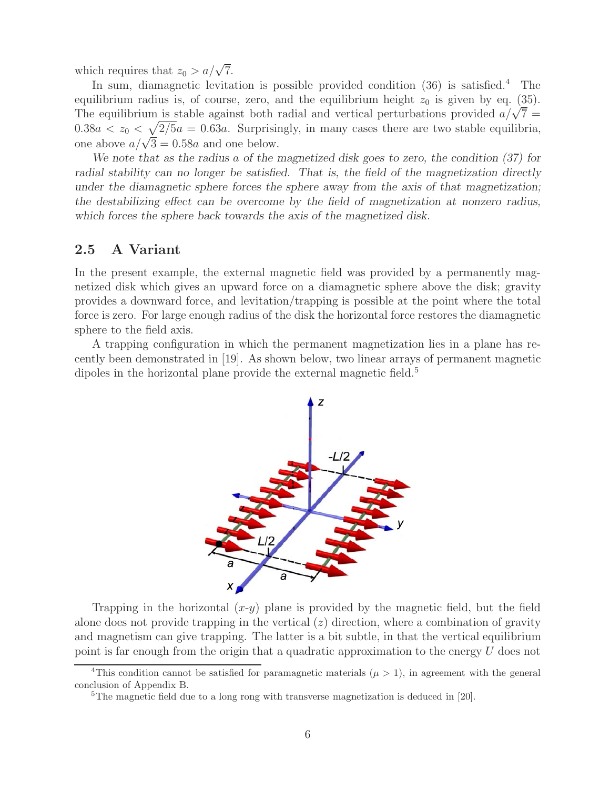which requires that  $z_0 > a/\sqrt{7}$ .

In sum, diamagnetic levitation is possible provided condition  $(36)$  is satisfied.<sup>4</sup> The equilibrium radius is, of course, zero, and the equilibrium height  $z_0$  is given by eq. (35). The equilibrium is stable against both radial and vertical perturbations provided  $a/\sqrt{7}$  =  $0.38a < z_0 < \sqrt{2/5}a = 0.63a$ . Surprisingly, in many cases there are two stable equilibria, one above  $a/\sqrt{3}=0.58a$  and one below.

*We note that as the radius* a *of the magnetized disk goes to zero, the condition (37) for radial stability can no longer be satisfied. That is, the field of the magnetization directly under the diamagnetic sphere forces the sphere away from the axis of that magnetization; the destabilizing effect can be overcome by the field of magnetization at nonzero radius, which forces the sphere back towards the axis of the magnetized disk.*

### **2.5 A Variant**

In the present example, the external magnetic field was provided by a permanently magnetized disk which gives an upward force on a diamagnetic sphere above the disk; gravity provides a downward force, and levitation/trapping is possible at the point where the total force is zero. For large enough radius of the disk the horizontal force restores the diamagnetic sphere to the field axis.

A trapping configuration in which the permanent magnetization lies in a plane has recently been demonstrated in [19]. As shown below, two linear arrays of permanent magnetic dipoles in the horizontal plane provide the external magnetic field.<sup>5</sup>



Trapping in the horizontal  $(x-y)$  plane is provided by the magnetic field, but the field alone does not provide trapping in the vertical  $(z)$  direction, where a combination of gravity and magnetism can give trapping. The latter is a bit subtle, in that the vertical equilibrium point is far enough from the origin that a quadratic approximation to the energy U does not

<sup>&</sup>lt;sup>4</sup>This condition cannot be satisfied for paramagnetic materials ( $\mu > 1$ ), in agreement with the general conclusion of Appendix B.

<sup>&</sup>lt;sup>5</sup>The magnetic field due to a long rong with transverse magnetization is deduced in [20].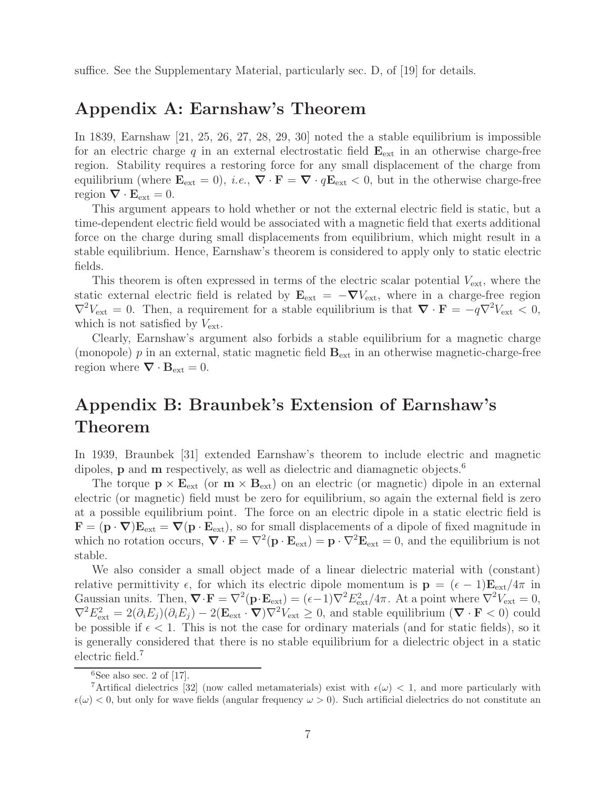suffice. See the Supplementary Material, particularly sec. D, of [19] for details.

## **Appendix A: Earnshaw's Theorem**

In 1839, Earnshaw [21, 25, 26, 27, 28, 29, 30] noted the a stable equilibrium is impossible for an electric charge  $q$  in an external electrostatic field  $\mathbf{E}_{\text{ext}}$  in an otherwise charge-free region. Stability requires a restoring force for any small displacement of the charge from equilibrium (where  $\mathbf{E}_{ext} = 0$ ), *i.e.*,  $\nabla \cdot \mathbf{F} = \nabla \cdot q \mathbf{E}_{ext} < 0$ , but in the otherwise charge-free region  $\nabla \cdot \mathbf{E}_{ext} = 0$ .

This argument appears to hold whether or not the external electric field is static, but a time-dependent electric field would be associated with a magnetic field that exerts additional force on the charge during small displacements from equilibrium, which might result in a stable equilibrium. Hence, Earnshaw's theorem is considered to apply only to static electric fields.

This theorem is often expressed in terms of the electric scalar potential  $V_{\text{ext}}$ , where the static external electric field is related by  $\mathbf{E}_{ext} = -\nabla V_{ext}$ , where in a charge-free region  $\nabla^2 V_{\text{ext}} = 0$ . Then, a requirement for a stable equilibrium is that  $\nabla \cdot \mathbf{F} = -q \nabla^2 V_{\text{ext}} < 0$ , which is not satisfied by  $V_{\text{ext}}$ .

Clearly, Earnshaw's argument also forbids a stable equilibrium for a magnetic charge (monopole)  $p$  in an external, static magnetic field  $\mathbf{B}_{\text{ext}}$  in an otherwise magnetic-charge-free region where  $\nabla \cdot \mathbf{B}_{ext} = 0$ .

# **Appendix B: Braunbek's Extension of Earnshaw's Theorem**

In 1939, Braunbek [31] extended Earnshaw's theorem to include electric and magnetic dipoles, **p** and **m** respectively, as well as dielectric and diamagnetic objects.<sup>6</sup>

The torque  $\mathbf{p} \times \mathbf{E}_{ext}$  (or  $\mathbf{m} \times \mathbf{B}_{ext}$ ) on an electric (or magnetic) dipole in an external electric (or magnetic) field must be zero for equilibrium, so again the external field is zero at a possible equilibrium point. The force on an electric dipole in a static electric field is  $\mathbf{F} = (\mathbf{p} \cdot \nabla) \mathbf{E}_{ext} = \nabla (\mathbf{p} \cdot \mathbf{E}_{ext}),$  so for small displacements of a dipole of fixed magnitude in which no rotation occurs,  $\nabla \cdot \mathbf{F} = \nabla^2 (\mathbf{p} \cdot \mathbf{E}_{ext}) = \mathbf{p} \cdot \nabla^2 \mathbf{E}_{ext} = 0$ , and the equilibrium is not stable.

We also consider a small object made of a linear dielectric material with (constant) relative permittivity  $\epsilon$ , for which its electric dipole momentum is  $\mathbf{p} = (\epsilon - 1)\mathbf{E}_{ext}/4\pi$  in Gaussian units. Then,  $\nabla \cdot \mathbf{F} = \nabla^2 (\mathbf{p} \cdot \mathbf{E}_{ext}) = (\epsilon - 1) \nabla^2 E_{ext}^2 / 4\pi$ . At a point where  $\nabla^2 V_{ext} = 0$ ,  $\nabla^2 E_{\text{ext}}^2 = 2(\partial_i E_j)(\partial_i E_j) - 2(\mathbf{E}_{\text{ext}} \cdot \nabla)\nabla^2 V_{\text{ext}} \geq 0$ , and stable equilibrium  $(\nabla \cdot \mathbf{F} < 0)$  could be possible if  $\epsilon < 1$ . This is not the case for ordinary materials (and for static fields), so it is generally considered that there is no stable equilibrium for a dielectric object in a static electric field.<sup>7</sup>

 ${}^{6}$ See also sec. 2 of [17].

<sup>&</sup>lt;sup>7</sup>Artifical dielectrics [32] (now called metamaterials) exist with  $\epsilon(\omega)$  < 1, and more particularly with  $\epsilon(\omega) < 0$ , but only for wave fields (angular frequency  $\omega > 0$ ). Such artificial dielectrics do not constitute an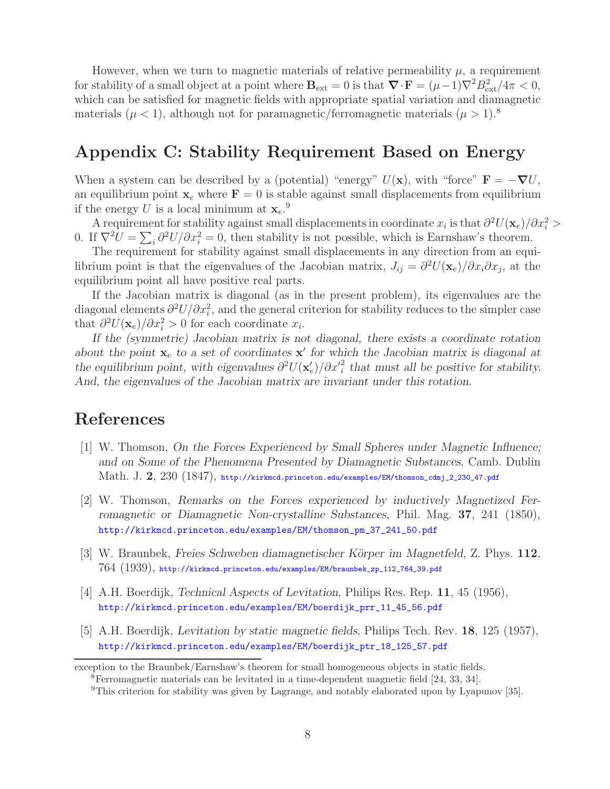However, when we turn to magnetic materials of relative permeability  $\mu$ , a requirement for stability of a small object at a point where  $\mathbf{B}_{ext} = 0$  is that  $\mathbf{\nabla} \cdot \mathbf{F} = (\mu - 1)\nabla^2 B_{ext}^2/4\pi < 0$ , which can be satisfied for magnetic fields with appropriate spatial variation and diamagnetic materials ( $\mu < 1$ ), although not for paramagnetic/ferromagnetic materials ( $\mu > 1$ ).<sup>8</sup>

## **Appendix C: Stability Requirement Based on Energy**

When a system can be described by a (potential) "energy"  $U(\mathbf{x})$ , with "force"  $\mathbf{F} = -\nabla U$ , an equilibrium point  $\mathbf{x}_e$  where  $\mathbf{F} = 0$  is stable against small displacements from equilibrium if the energy U is a local minimum at  $\mathbf{x}_e$ <sup>9</sup>.

A requirement for stability against small displacements in coordinate  $x_i$  is that  $\partial^2 U(\mathbf{x}_e)/\partial x_i^2 > 0$ 0. If  $\nabla^2 U = \sum_i \frac{\partial^2 U}{\partial x_i^2} = 0$ , then stability is not possible, which is Earnshaw's theorem.

The requirement for stability against small displacements in any direction from an equilibrium point is that the eigenvalues of the Jacobian matrix,  $J_{ij} = \frac{\partial^2 U(\mathbf{x}_e)}{\partial x_i \partial x_j}$ , at the equilibrium point all have positive real parts.

If the Jacobian matrix is diagonal (as in the present problem), its eigenvalues are the diagonal elements  $\partial^2 U/\partial x_i^2$ , and the general criterion for stability reduces to the simpler case that  $\partial^2 U(\mathbf{x}_e)/\partial x_i^2 > 0$  for each coordinate  $x_i$ .

*If the (symmetric) Jacobian matrix is not diagonal, there exists a coordinate rotation* about the point  $\mathbf{x}_e$  to a set of coordinates  $\mathbf{x}'$  for which the Jacobian matrix is diagonal at *the equilibrium point, with eigenvalues*  $\partial^2 U(\mathbf{x}'_e)/\partial x'^2$  *that must all be positive for stability. And, the eigenvalues of the Jacobian matrix are invariant under this rotation.*

## **References**

- [1] W. Thomson, *On the Forces Experienced by Small Spheres under Magnetic Influence; and on Some of the Phenomena Presented by Diamagnetic Substances*, Camb. Dublin Math. J. **2**, 230 (1847), http://kirkmcd.princeton.edu/examples/EM/thomson\_cdmj\_2\_230\_47.pdf
- [2] W. Thomson, *Remarks on the Forces experienced by inductively Magnetized Ferromagnetic or Diamagnetic Non-crystalline Substances*, Phil. Mag. **37**, 241 (1850), http://kirkmcd.princeton.edu/examples/EM/thomson\_pm\_37\_241\_50.pdf
- [3] W. Braunbek, *Freies Schweben diamagnetischer K¨orper im Magnetfeld*, Z. Phys. **112**,  $764\ (1939),$  http://kirkmcd.princeton.edu/examples/EM/braunbek\_zp\_112\_764\_39.pdf
- [4] A.H. Boerdijk, *Technical Aspects of Levitation*, Philips Res. Rep. **11**, 45 (1956), http://kirkmcd.princeton.edu/examples/EM/boerdijk\_prr\_11\_45\_56.pdf
- [5] A.H. Boerdijk, *Levitation by static magnetic fields*, Philips Tech. Rev. **18**, 125 (1957), http://kirkmcd.princeton.edu/examples/EM/boerdijk\_ptr\_18\_125\_57.pdf

exception to the Braunbek/Earnshaw's theorem for small homogeneous objects in static fields.

<sup>8</sup>Ferromagnetic materials can be levitated in a time-dependent magnetic field [24, 33, 34].

<sup>9</sup>This criterion for stability was given by Lagrange, and notably elaborated upon by Lyapunov [35].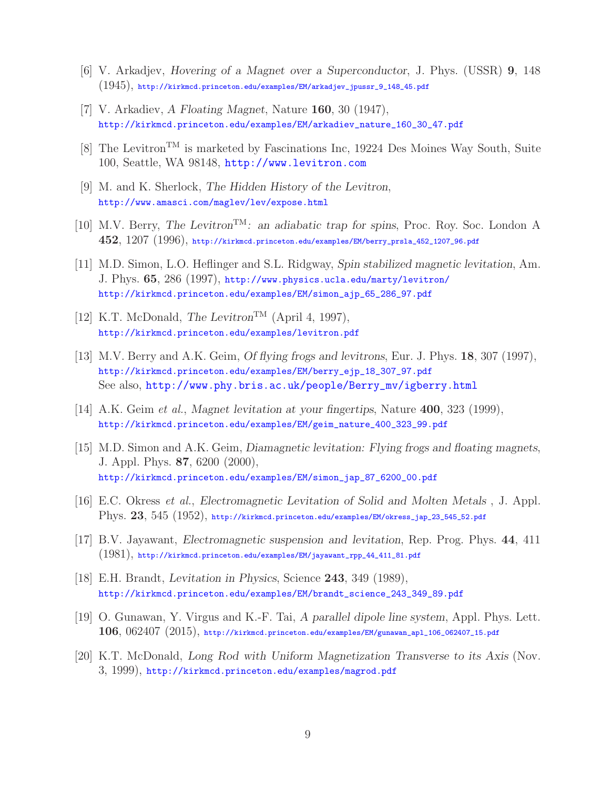- [6] V. Arkadjev, *Hovering of a Magnet over a Superconductor*, J. Phys. (USSR) **9**, 148  $(1945)$ , http://kirkmcd.princeton.edu/examples/EM/arkadjev\_jpussr\_9\_148\_45.pdf
- [7] V. Arkadiev, *A Floating Magnet*, Nature **160**, 30 (1947), http://kirkmcd.princeton.edu/examples/EM/arkadiev\_nature\_160\_30\_47.pdf
- [8] The Levitron<sup>TM</sup> is marketed by Fascinations Inc, 19224 Des Moines Way South, Suite 100, Seattle, WA 98148, http://www.levitron.com
- [9] M. and K. Sherlock, *The Hidden History of the Levitron*, http://www.amasci.com/maglev/lev/expose.html
- [10] M.V. Berry, *The Levitron*TM*: an adiabatic trap for spins*, Proc. Roy. Soc. London A **452**, 1207 (1996), http://kirkmcd.princeton.edu/examples/EM/berry\_prsla\_452\_1207\_96.pdf
- [11] M.D. Simon, L.O. Heflinger and S.L. Ridgway, *Spin stabilized magnetic levitation*, Am. J. Phys. **65**, 286 (1997), http://www.physics.ucla.edu/marty/levitron/ http://kirkmcd.princeton.edu/examples/EM/simon\_ajp\_65\_286\_97.pdf
- [12] K.T. McDonald, *The Levitron*<sup>TM</sup> (April 4, 1997), http://kirkmcd.princeton.edu/examples/levitron.pdf
- [13] M.V. Berry and A.K. Geim, *Of flying frogs and levitrons*, Eur. J. Phys. **18**, 307 (1997), http://kirkmcd.princeton.edu/examples/EM/berry\_ejp\_18\_307\_97.pdf See also, http://www.phy.bris.ac.uk/people/Berry\_mv/igberry.html
- [14] A.K. Geim *et al.*, *Magnet levitation at your fingertips*, Nature **400**, 323 (1999), http://kirkmcd.princeton.edu/examples/EM/geim\_nature\_400\_323\_99.pdf
- [15] M.D. Simon and A.K. Geim, *Diamagnetic levitation: Flying frogs and floating magnets*, J. Appl. Phys. **87**, 6200 (2000), http://kirkmcd.princeton.edu/examples/EM/simon\_jap\_87\_6200\_00.pdf
- [16] E.C. Okress *et al.*, *Electromagnetic Levitation of Solid and Molten Metals* , J. Appl. Phys. **23**, 545 (1952), http://kirkmcd.princeton.edu/examples/EM/okress\_jap\_23\_545\_52.pdf
- [17] B.V. Jayawant, *Electromagnetic suspension and levitation*, Rep. Prog. Phys. **44**, 411 (1981), http://kirkmcd.princeton.edu/examples/EM/jayawant\_rpp\_44\_411\_81.pdf
- [18] E.H. Brandt, *Levitation in Physics*, Science **243**, 349 (1989), http://kirkmcd.princeton.edu/examples/EM/brandt\_science\_243\_349\_89.pdf
- [19] O. Gunawan, Y. Virgus and K.-F. Tai, *A parallel dipole line system*, Appl. Phys. Lett. **106**, 062407 (2015), http://kirkmcd.princeton.edu/examples/EM/gunawan\_apl\_106\_062407\_15.pdf
- [20] K.T. McDonald, *Long Rod with Uniform Magnetization Transverse to its Axis* (Nov. 3, 1999), http://kirkmcd.princeton.edu/examples/magrod.pdf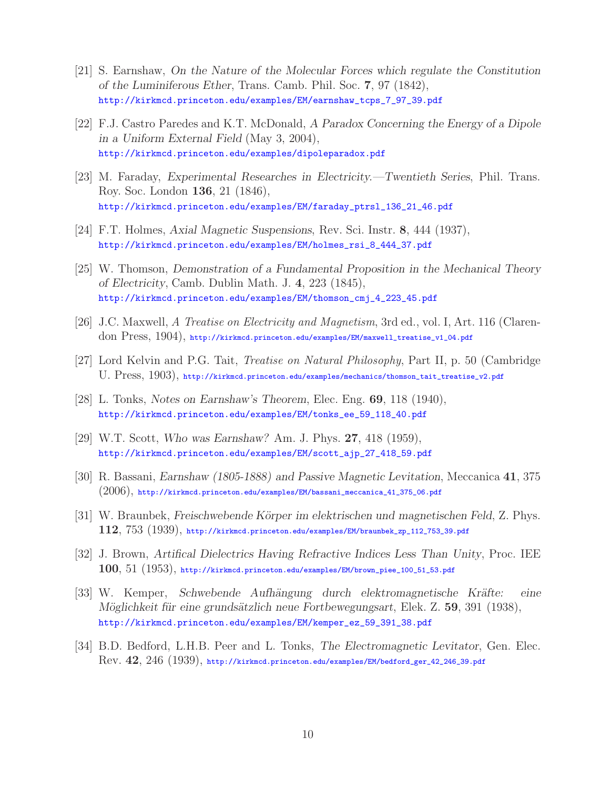- [21] S. Earnshaw, *On the Nature of the Molecular Forces which regulate the Constitution of the Luminiferous Ether*, Trans. Camb. Phil. Soc. **7**, 97 (1842), http://kirkmcd.princeton.edu/examples/EM/earnshaw\_tcps\_7\_97\_39.pdf
- [22] F.J. Castro Paredes and K.T. McDonald, *A Paradox Concerning the Energy of a Dipole in a Uniform External Field* (May 3, 2004), http://kirkmcd.princeton.edu/examples/dipoleparadox.pdf
- [23] M. Faraday, *Experimental Researches in Electricity.—Twentieth Series*, Phil. Trans. Roy. Soc. London **136**, 21 (1846), http://kirkmcd.princeton.edu/examples/EM/faraday\_ptrsl\_136\_21\_46.pdf
- [24] F.T. Holmes, *Axial Magnetic Suspensions*, Rev. Sci. Instr. **8**, 444 (1937), http://kirkmcd.princeton.edu/examples/EM/holmes\_rsi\_8\_444\_37.pdf
- [25] W. Thomson, *Demonstration of a Fundamental Proposition in the Mechanical Theory of Electricity*, Camb. Dublin Math. J. **4**, 223 (1845), http://kirkmcd.princeton.edu/examples/EM/thomson\_cmj\_4\_223\_45.pdf
- [26] J.C. Maxwell, *A Treatise on Electricity and Magnetism*, 3rd ed., vol. I, Art. 116 (Clarendon Press, 1904), http://kirkmcd.princeton.edu/examples/EM/maxwell\_treatise\_v1\_04.pdf
- [27] Lord Kelvin and P.G. Tait, *Treatise on Natural Philosophy*, Part II, p. 50 (Cambridge U. Press, 1903), http://kirkmcd.princeton.edu/examples/mechanics/thomson\_tait\_treatise\_v2.pdf
- [28] L. Tonks, *Notes on Earnshaw's Theorem*, Elec. Eng. **69**, 118 (1940), http://kirkmcd.princeton.edu/examples/EM/tonks\_ee\_59\_118\_40.pdf
- [29] W.T. Scott, *Who was Earnshaw?* Am. J. Phys. **27**, 418 (1959), http://kirkmcd.princeton.edu/examples/EM/scott\_ajp\_27\_418\_59.pdf
- [30] R. Bassani, *Earnshaw (1805-1888) and Passive Magnetic Levitation*, Meccanica **41**, 375  $(2006)$ , http://kirkmcd.princeton.edu/examples/EM/bassani\_meccanica\_41\_375\_06.pdf
- [31] W. Braunbek, *Freischwebende K¨orper im elektrischen und magnetischen Feld*, Z. Phys. **112**, 753 (1939), http://kirkmcd.princeton.edu/examples/EM/braunbek\_zp\_112\_753\_39.pdf
- [32] J. Brown, *Artifical Dielectrics Having Refractive Indices Less Than Unity*, Proc. IEE **100**, 51 (1953), http://kirkmcd.princeton.edu/examples/EM/brown\_piee\_100\_51\_53.pdf
- [33] W. Kemper, *Schwebende Aufhängung durch elektromagnetische Kräfte: eine M¨oglichkeit f¨ur eine grunds¨atzlich neue Fortbewegungsart*, Elek. Z. **59**, 391 (1938), http://kirkmcd.princeton.edu/examples/EM/kemper\_ez\_59\_391\_38.pdf
- [34] B.D. Bedford, L.H.B. Peer and L. Tonks, *The Electromagnetic Levitator*, Gen. Elec. Rev. **42**, 246 (1939), http://kirkmcd.princeton.edu/examples/EM/bedford\_ger\_42\_246\_39.pdf